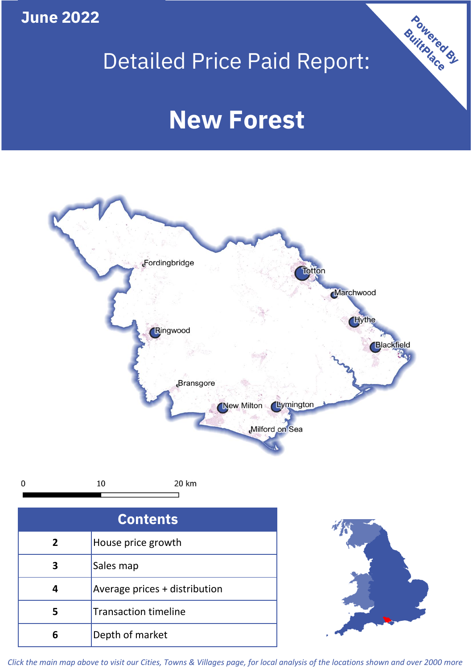**June 2022**

## Detailed Price Paid Report:

# **New Forest**



| <b>Contents</b> |                               |  |  |
|-----------------|-------------------------------|--|--|
| $\overline{2}$  | House price growth            |  |  |
| 3               | Sales map                     |  |  |
|                 | Average prices + distribution |  |  |
| 5               | <b>Transaction timeline</b>   |  |  |
|                 | Depth of market               |  |  |



Powered By

*Click the main map above to visit our Cities, Towns & Villages page, for local analysis of the locations shown and over 2000 more*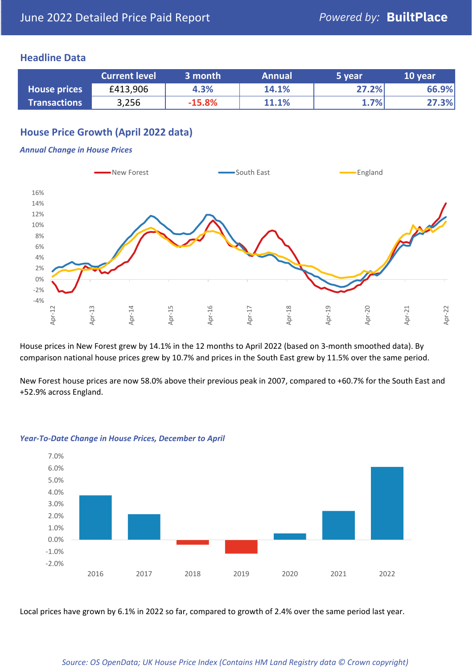#### **Headline Data**

|                     | <b>Current level</b> | 3 month  | <b>Annual</b> | 5 year | 10 year |
|---------------------|----------------------|----------|---------------|--------|---------|
| <b>House prices</b> | £413,906             | 4.3%     | 14.1%         | 27.2%  | 66.9%   |
| <b>Transactions</b> | 3,256                | $-15.8%$ | 11.1%         | 1.7%   | 27.3%   |

### **House Price Growth (April 2022 data)**

#### *Annual Change in House Prices*



House prices in New Forest grew by 14.1% in the 12 months to April 2022 (based on 3-month smoothed data). By comparison national house prices grew by 10.7% and prices in the South East grew by 11.5% over the same period.

New Forest house prices are now 58.0% above their previous peak in 2007, compared to +60.7% for the South East and +52.9% across England.



#### *Year-To-Date Change in House Prices, December to April*

Local prices have grown by 6.1% in 2022 so far, compared to growth of 2.4% over the same period last year.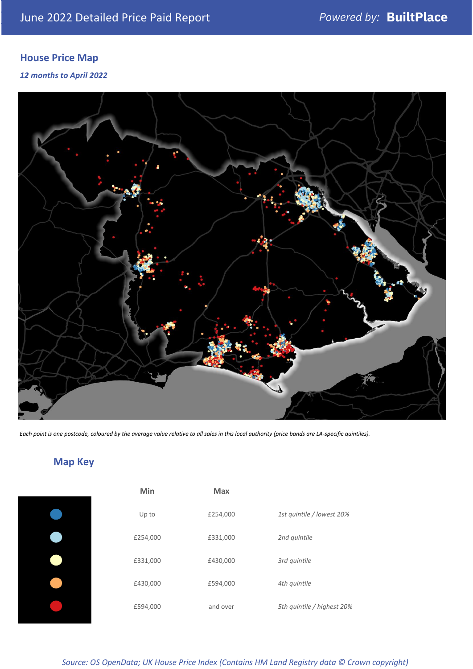### **House Price Map**

*12 months to April 2022*



*Each point is one postcode, coloured by the average value relative to all sales in this local authority (price bands are LA-specific quintiles).*

**Map Key**

| Min      | <b>Max</b> |                            |
|----------|------------|----------------------------|
| Up to    | £254,000   | 1st quintile / lowest 20%  |
| £254,000 | £331,000   | 2nd quintile               |
| £331,000 | £430,000   | 3rd quintile               |
| £430,000 | £594,000   | 4th quintile               |
| £594,000 | and over   | 5th quintile / highest 20% |

*Source: OS OpenData; UK House Price Index (Contains HM Land Registry data © Crown copyright)*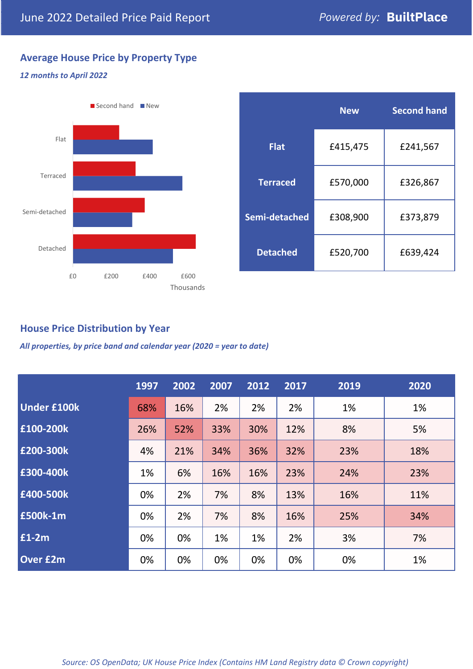### **Average House Price by Property Type**

#### *12 months to April 2022*



|                 | <b>New</b> | <b>Second hand</b> |  |  |
|-----------------|------------|--------------------|--|--|
| <b>Flat</b>     | £415,475   | £241,567           |  |  |
| <b>Terraced</b> | £570,000   | £326,867           |  |  |
| Semi-detached   | £308,900   | £373,879           |  |  |
| <b>Detached</b> | £520,700   | £639,424           |  |  |

#### **House Price Distribution by Year**

*All properties, by price band and calendar year (2020 = year to date)*

|                    | 1997 | 2002 | 2007 | 2012 | 2017 | 2019 | 2020 |
|--------------------|------|------|------|------|------|------|------|
| <b>Under £100k</b> | 68%  | 16%  | 2%   | 2%   | 2%   | 1%   | 1%   |
| £100-200k          | 26%  | 52%  | 33%  | 30%  | 12%  | 8%   | 5%   |
| £200-300k          | 4%   | 21%  | 34%  | 36%  | 32%  | 23%  | 18%  |
| £300-400k          | 1%   | 6%   | 16%  | 16%  | 23%  | 24%  | 23%  |
| £400-500k          | 0%   | 2%   | 7%   | 8%   | 13%  | 16%  | 11%  |
| £500k-1m           | 0%   | 2%   | 7%   | 8%   | 16%  | 25%  | 34%  |
| £1-2m              | 0%   | 0%   | 1%   | 1%   | 2%   | 3%   | 7%   |
| <b>Over £2m</b>    | 0%   | 0%   | 0%   | 0%   | 0%   | 0%   | 1%   |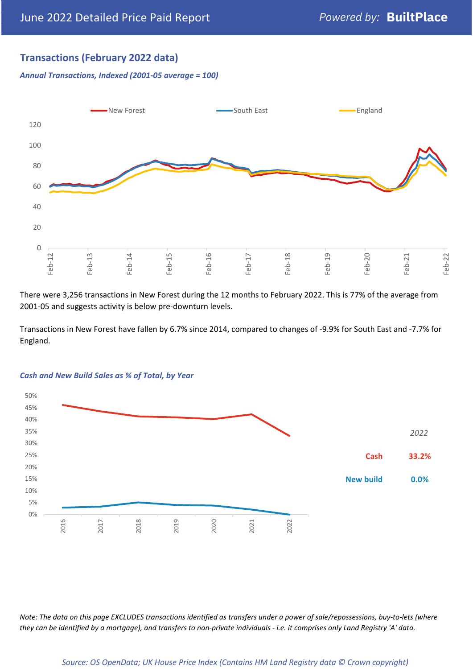#### **Transactions (February 2022 data)**

*Annual Transactions, Indexed (2001-05 average = 100)*



There were 3,256 transactions in New Forest during the 12 months to February 2022. This is 77% of the average from 2001-05 and suggests activity is below pre-downturn levels.

Transactions in New Forest have fallen by 6.7% since 2014, compared to changes of -9.9% for South East and -7.7% for England.



#### *Cash and New Build Sales as % of Total, by Year*

*Note: The data on this page EXCLUDES transactions identified as transfers under a power of sale/repossessions, buy-to-lets (where they can be identified by a mortgage), and transfers to non-private individuals - i.e. it comprises only Land Registry 'A' data.*